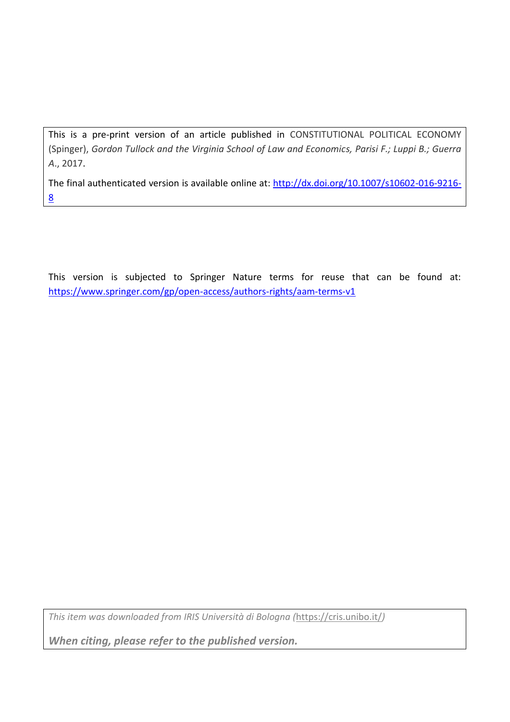This is a pre-print version of an article published in CONSTITUTIONAL POLITICAL ECONOMY (Spinger), *Gordon Tullock and the Virginia School of Law and Economics, Parisi F.; Luppi B.; Guerra A*., 2017.

The final authenticated version is available online at: [http://dx.doi.org/10.1007/s10602-016-9216-](http://dx.doi.org/10.1007/s10602-016-9216-8) [8](http://dx.doi.org/10.1007/s10602-016-9216-8)

This version is subjected to Springer Nature terms for reuse that can be found at: https://www.springer.com/gp/open-access/authors-rights/aam-terms-v1

*This item was downloaded from IRIS Università di Bologna (*<https://cris.unibo.it/>*)*

*When citing, please refer to the published version.*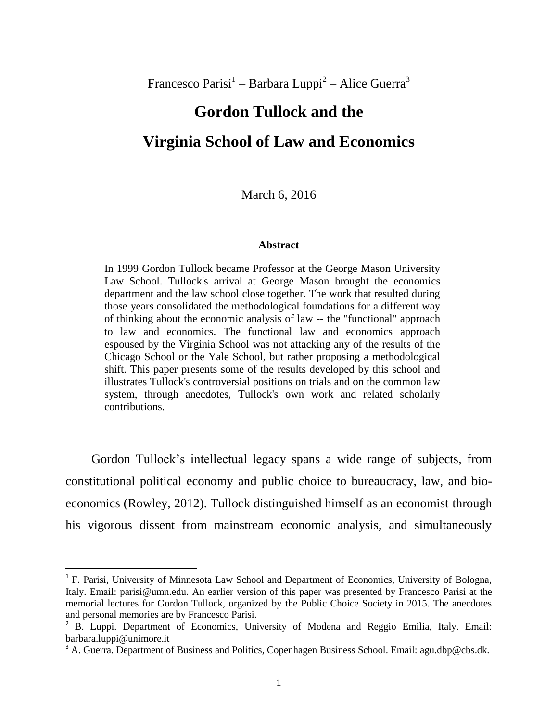Francesco Parisi<sup>1</sup> – Barbara Luppi<sup>2</sup> – Alice Guerra<sup>3</sup>

# **Gordon Tullock and the Virginia School of Law and Economics**

March 6, 2016

#### **Abstract**

In 1999 Gordon Tullock became Professor at the George Mason University Law School. Tullock's arrival at George Mason brought the economics department and the law school close together. The work that resulted during those years consolidated the methodological foundations for a different way of thinking about the economic analysis of law -- the "functional" approach to law and economics. The functional law and economics approach espoused by the Virginia School was not attacking any of the results of the Chicago School or the Yale School, but rather proposing a methodological shift. This paper presents some of the results developed by this school and illustrates Tullock's controversial positions on trials and on the common law system, through anecdotes, Tullock's own work and related scholarly contributions.

Gordon Tullock's intellectual legacy spans a wide range of subjects, from constitutional political economy and public choice to bureaucracy, law, and bioeconomics (Rowley, 2012). Tullock distinguished himself as an economist through his vigorous dissent from mainstream economic analysis, and simultaneously

 $\overline{a}$ 

<sup>&</sup>lt;sup>1</sup> F. Parisi, University of Minnesota Law School and Department of Economics, University of Bologna, Italy. Email: parisi@umn.edu. An earlier version of this paper was presented by Francesco Parisi at the memorial lectures for Gordon Tullock, organized by the Public Choice Society in 2015. The anecdotes and personal memories are by Francesco Parisi.

<sup>&</sup>lt;sup>2</sup> B. Luppi. Department of Economics, University of Modena and Reggio Emilia, Italy. Email: barbara.luppi@unimore.it

<sup>&</sup>lt;sup>3</sup> A. Guerra. Department of Business and Politics, Copenhagen Business School. Email: agu.dbp@cbs.dk.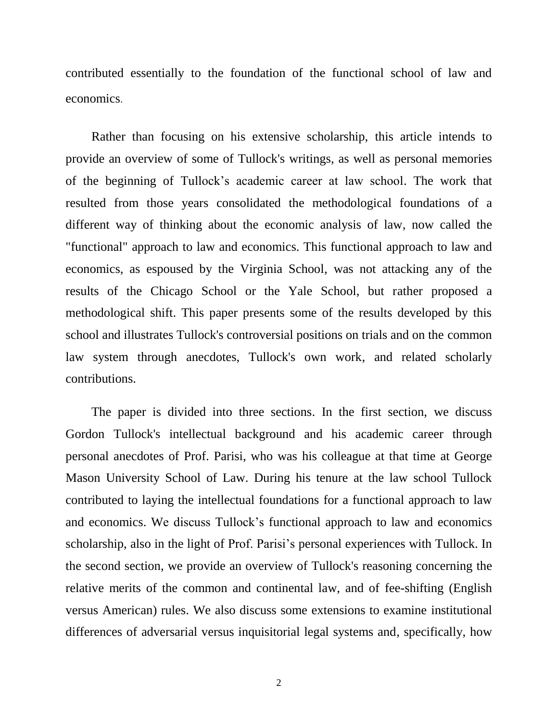contributed essentially to the foundation of the functional school of law and economics.

Rather than focusing on his extensive scholarship, this article intends to provide an overview of some of Tullock's writings, as well as personal memories of the beginning of Tullock's academic career at law school. The work that resulted from those years consolidated the methodological foundations of a different way of thinking about the economic analysis of law, now called the "functional" approach to law and economics. This functional approach to law and economics, as espoused by the Virginia School, was not attacking any of the results of the Chicago School or the Yale School, but rather proposed a methodological shift. This paper presents some of the results developed by this school and illustrates Tullock's controversial positions on trials and on the common law system through anecdotes, Tullock's own work, and related scholarly contributions.

The paper is divided into three sections. In the first section, we discuss Gordon Tullock's intellectual background and his academic career through personal anecdotes of Prof. Parisi, who was his colleague at that time at George Mason University School of Law. During his tenure at the law school Tullock contributed to laying the intellectual foundations for a functional approach to law and economics. We discuss Tullock's functional approach to law and economics scholarship, also in the light of Prof. Parisi's personal experiences with Tullock. In the second section, we provide an overview of Tullock's reasoning concerning the relative merits of the common and continental law, and of fee-shifting (English versus American) rules. We also discuss some extensions to examine institutional differences of adversarial versus inquisitorial legal systems and, specifically, how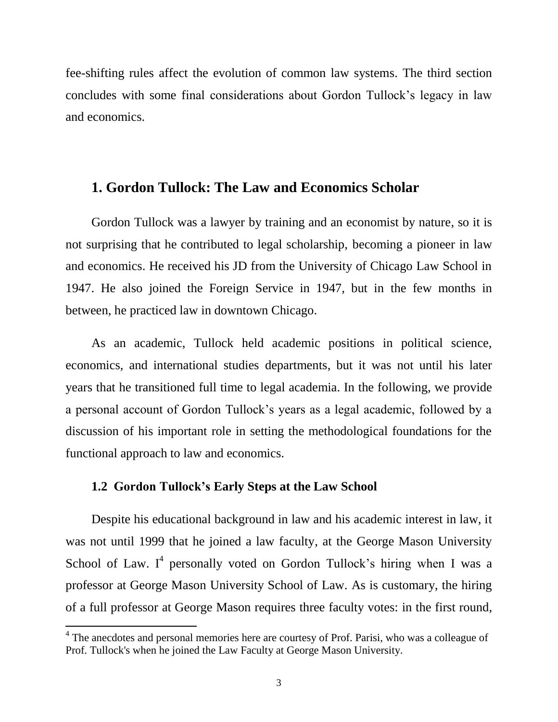fee-shifting rules affect the evolution of common law systems. The third section concludes with some final considerations about Gordon Tullock's legacy in law and economics.

# **1. Gordon Tullock: The Law and Economics Scholar**

Gordon Tullock was a lawyer by training and an economist by nature, so it is not surprising that he contributed to legal scholarship, becoming a pioneer in law and economics. He received his JD from the University of Chicago Law School in 1947. He also joined the Foreign Service in 1947, but in the few months in between, he practiced law in downtown Chicago.

As an academic, Tullock held academic positions in political science, economics, and international studies departments, but it was not until his later years that he transitioned full time to legal academia. In the following, we provide a personal account of Gordon Tullock's years as a legal academic, followed by a discussion of his important role in setting the methodological foundations for the functional approach to law and economics.

## **1.2 Gordon Tullock's Early Steps at the Law School**

 $\overline{\phantom{a}}$ 

Despite his educational background in law and his academic interest in law, it was not until 1999 that he joined a law faculty, at the George Mason University School of Law. I<sup>4</sup> personally voted on Gordon Tullock's hiring when I was a professor at George Mason University School of Law. As is customary, the hiring of a full professor at George Mason requires three faculty votes: in the first round,

<sup>&</sup>lt;sup>4</sup> The anecdotes and personal memories here are courtesy of Prof. Parisi, who was a colleague of Prof. Tullock's when he joined the Law Faculty at George Mason University.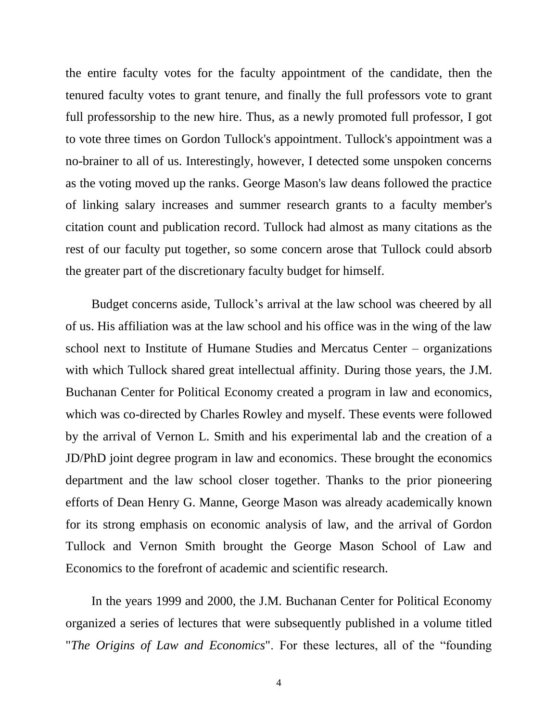the entire faculty votes for the faculty appointment of the candidate, then the tenured faculty votes to grant tenure, and finally the full professors vote to grant full professorship to the new hire. Thus, as a newly promoted full professor, I got to vote three times on Gordon Tullock's appointment. Tullock's appointment was a no-brainer to all of us. Interestingly, however, I detected some unspoken concerns as the voting moved up the ranks. George Mason's law deans followed the practice of linking salary increases and summer research grants to a faculty member's citation count and publication record. Tullock had almost as many citations as the rest of our faculty put together, so some concern arose that Tullock could absorb the greater part of the discretionary faculty budget for himself.

Budget concerns aside, Tullock's arrival at the law school was cheered by all of us. His affiliation was at the law school and his office was in the wing of the law school next to Institute of Humane Studies and Mercatus Center – organizations with which Tullock shared great intellectual affinity. During those years, the J.M. Buchanan Center for Political Economy created a program in law and economics, which was co-directed by Charles Rowley and myself. These events were followed by the arrival of Vernon L. Smith and his experimental lab and the creation of a JD/PhD joint degree program in law and economics. These brought the economics department and the law school closer together. Thanks to the prior pioneering efforts of Dean Henry G. Manne, George Mason was already academically known for its strong emphasis on economic analysis of law, and the arrival of Gordon Tullock and Vernon Smith brought the George Mason School of Law and Economics to the forefront of academic and scientific research.

In the years 1999 and 2000, the J.M. Buchanan Center for Political Economy organized a series of lectures that were subsequently published in a volume titled "*The Origins of Law and Economics*". For these lectures, all of the "founding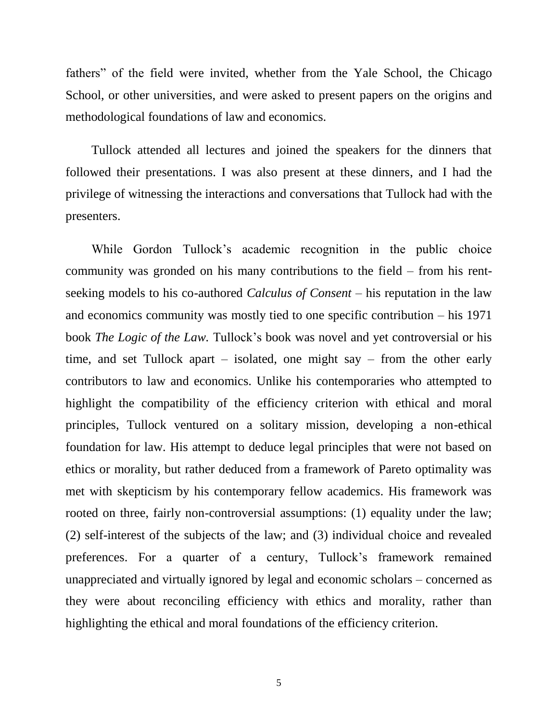fathers" of the field were invited, whether from the Yale School, the Chicago School, or other universities, and were asked to present papers on the origins and methodological foundations of law and economics.

Tullock attended all lectures and joined the speakers for the dinners that followed their presentations. I was also present at these dinners, and I had the privilege of witnessing the interactions and conversations that Tullock had with the presenters.

While Gordon Tullock's academic recognition in the public choice community was gronded on his many contributions to the field – from his rentseeking models to his co-authored *Calculus of Consent* – his reputation in the law and economics community was mostly tied to one specific contribution – his 1971 book *The Logic of the Law.* Tullock's book was novel and yet controversial or his time, and set Tullock apart – isolated, one might say – from the other early contributors to law and economics. Unlike his contemporaries who attempted to highlight the compatibility of the efficiency criterion with ethical and moral principles, Tullock ventured on a solitary mission, developing a non-ethical foundation for law. His attempt to deduce legal principles that were not based on ethics or morality, but rather deduced from a framework of Pareto optimality was met with skepticism by his contemporary fellow academics. His framework was rooted on three, fairly non-controversial assumptions: (1) equality under the law; (2) self-interest of the subjects of the law; and (3) individual choice and revealed preferences. For a quarter of a century, Tullock's framework remained unappreciated and virtually ignored by legal and economic scholars – concerned as they were about reconciling efficiency with ethics and morality, rather than highlighting the ethical and moral foundations of the efficiency criterion.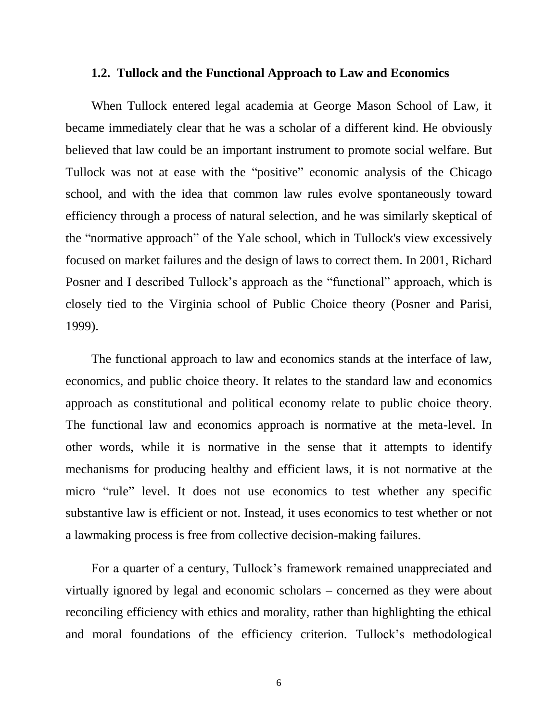#### **1.2. Tullock and the Functional Approach to Law and Economics**

When Tullock entered legal academia at George Mason School of Law, it became immediately clear that he was a scholar of a different kind. He obviously believed that law could be an important instrument to promote social welfare. But Tullock was not at ease with the "positive" economic analysis of the Chicago school, and with the idea that common law rules evolve spontaneously toward efficiency through a process of natural selection, and he was similarly skeptical of the "normative approach" of the Yale school, which in Tullock's view excessively focused on market failures and the design of laws to correct them. In 2001, Richard Posner and I described Tullock's approach as the "functional" approach, which is closely tied to the Virginia school of Public Choice theory (Posner and Parisi, 1999).

The functional approach to law and economics stands at the interface of law, economics, and public choice theory. It relates to the standard law and economics approach as constitutional and political economy relate to public choice theory. The functional law and economics approach is normative at the meta-level. In other words, while it is normative in the sense that it attempts to identify mechanisms for producing healthy and efficient laws, it is not normative at the micro "rule" level. It does not use economics to test whether any specific substantive law is efficient or not. Instead, it uses economics to test whether or not a lawmaking process is free from collective decision-making failures.

For a quarter of a century, Tullock's framework remained unappreciated and virtually ignored by legal and economic scholars – concerned as they were about reconciling efficiency with ethics and morality, rather than highlighting the ethical and moral foundations of the efficiency criterion. Tullock's methodological

6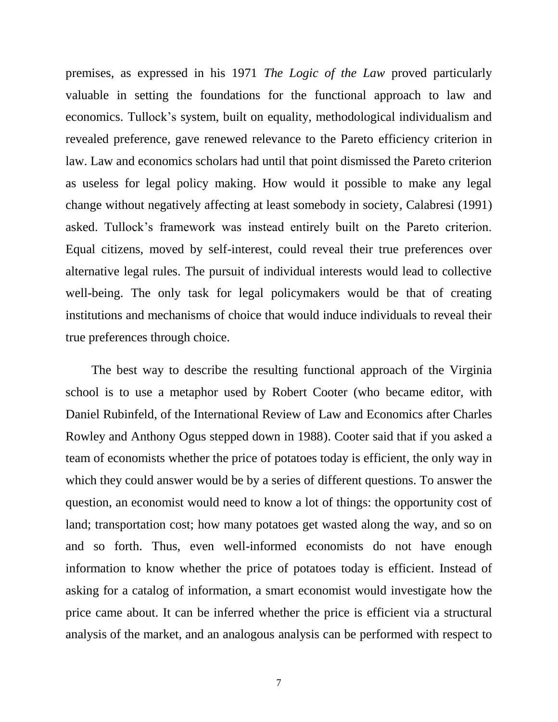premises, as expressed in his 1971 *The Logic of the Law* proved particularly valuable in setting the foundations for the functional approach to law and economics. Tullock's system, built on equality, methodological individualism and revealed preference, gave renewed relevance to the Pareto efficiency criterion in law. Law and economics scholars had until that point dismissed the Pareto criterion as useless for legal policy making. How would it possible to make any legal change without negatively affecting at least somebody in society, Calabresi (1991) asked. Tullock's framework was instead entirely built on the Pareto criterion. Equal citizens, moved by self-interest, could reveal their true preferences over alternative legal rules. The pursuit of individual interests would lead to collective well-being. The only task for legal policymakers would be that of creating institutions and mechanisms of choice that would induce individuals to reveal their true preferences through choice.

The best way to describe the resulting functional approach of the Virginia school is to use a metaphor used by Robert Cooter (who became editor, with Daniel Rubinfeld, of the International Review of Law and Economics after Charles Rowley and Anthony Ogus stepped down in 1988). Cooter said that if you asked a team of economists whether the price of potatoes today is efficient, the only way in which they could answer would be by a series of different questions. To answer the question, an economist would need to know a lot of things: the opportunity cost of land; transportation cost; how many potatoes get wasted along the way, and so on and so forth. Thus, even well-informed economists do not have enough information to know whether the price of potatoes today is efficient. Instead of asking for a catalog of information, a smart economist would investigate how the price came about. It can be inferred whether the price is efficient via a structural analysis of the market, and an analogous analysis can be performed with respect to

7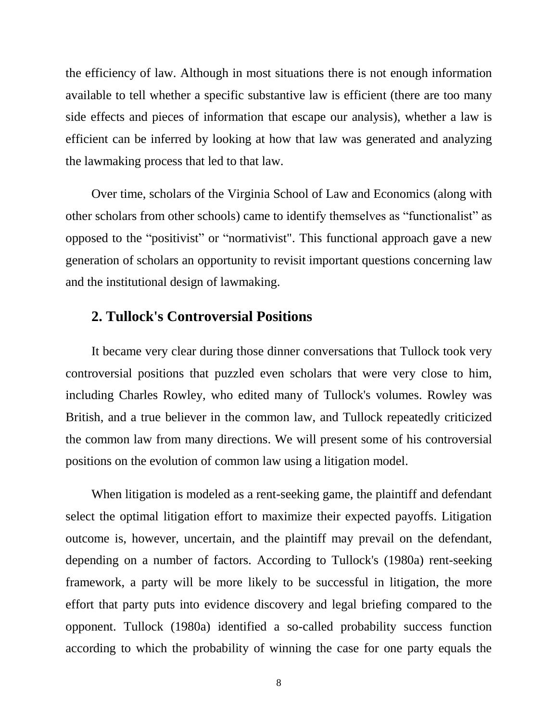the efficiency of law. Although in most situations there is not enough information available to tell whether a specific substantive law is efficient (there are too many side effects and pieces of information that escape our analysis), whether a law is efficient can be inferred by looking at how that law was generated and analyzing the lawmaking process that led to that law.

Over time, scholars of the Virginia School of Law and Economics (along with other scholars from other schools) came to identify themselves as "functionalist" as opposed to the "positivist" or "normativist". This functional approach gave a new generation of scholars an opportunity to revisit important questions concerning law and the institutional design of lawmaking.

# **2. Tullock's Controversial Positions**

It became very clear during those dinner conversations that Tullock took very controversial positions that puzzled even scholars that were very close to him, including Charles Rowley, who edited many of Tullock's volumes. Rowley was British, and a true believer in the common law, and Tullock repeatedly criticized the common law from many directions. We will present some of his controversial positions on the evolution of common law using a litigation model.

When litigation is modeled as a rent-seeking game, the plaintiff and defendant select the optimal litigation effort to maximize their expected payoffs. Litigation outcome is, however, uncertain, and the plaintiff may prevail on the defendant, depending on a number of factors. According to Tullock's (1980a) rent-seeking framework, a party will be more likely to be successful in litigation, the more effort that party puts into evidence discovery and legal briefing compared to the opponent. Tullock (1980a) identified a so-called probability success function according to which the probability of winning the case for one party equals the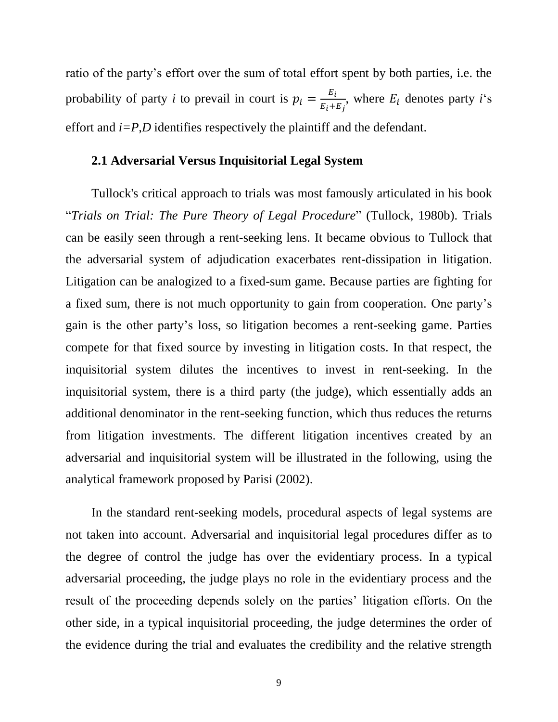ratio of the party's effort over the sum of total effort spent by both parties, i.e. the probability of party *i* to prevail in court is  $p_i = \frac{E}{R_i}$  $\frac{E_i}{E_i+E_j}$ , where  $E_i$  denotes party *i*<sup>c</sup>s effort and *i=P,D* identifies respectively the plaintiff and the defendant.

### **2.1 Adversarial Versus Inquisitorial Legal System**

Tullock's critical approach to trials was most famously articulated in his book "*Trials on Trial: The Pure Theory of Legal Procedure*" (Tullock, 1980b). Trials can be easily seen through a rent-seeking lens. It became obvious to Tullock that the adversarial system of adjudication exacerbates rent-dissipation in litigation. Litigation can be analogized to a fixed-sum game. Because parties are fighting for a fixed sum, there is not much opportunity to gain from cooperation. One party's gain is the other party's loss, so litigation becomes a rent-seeking game. Parties compete for that fixed source by investing in litigation costs. In that respect, the inquisitorial system dilutes the incentives to invest in rent-seeking. In the inquisitorial system, there is a third party (the judge), which essentially adds an additional denominator in the rent-seeking function, which thus reduces the returns from litigation investments. The different litigation incentives created by an adversarial and inquisitorial system will be illustrated in the following, using the analytical framework proposed by Parisi (2002).

In the standard rent-seeking models, procedural aspects of legal systems are not taken into account. Adversarial and inquisitorial legal procedures differ as to the degree of control the judge has over the evidentiary process. In a typical adversarial proceeding, the judge plays no role in the evidentiary process and the result of the proceeding depends solely on the parties' litigation efforts. On the other side, in a typical inquisitorial proceeding, the judge determines the order of the evidence during the trial and evaluates the credibility and the relative strength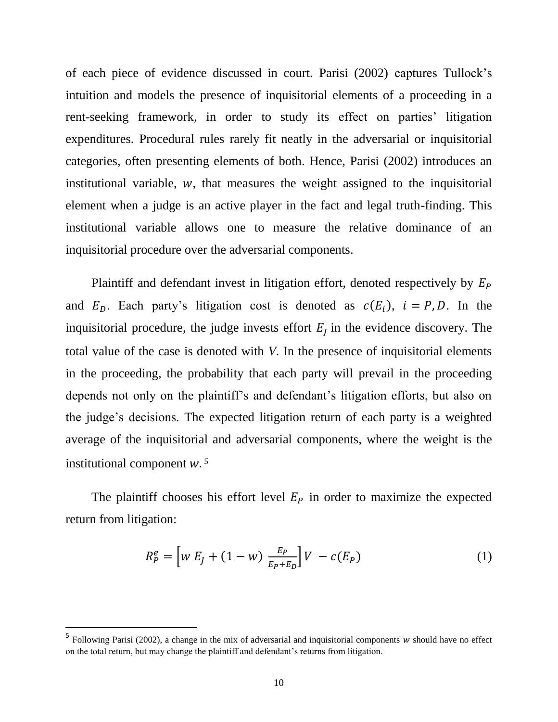of each piece of evidence discussed in court. Parisi (2002) captures Tullock's intuition and models the presence of inquisitorial elements of a proceeding in a rent-seeking framework, in order to study its effect on parties' litigation expenditures. Procedural rules rarely fit neatly in the adversarial or inquisitorial categories, often presenting elements of both. Hence, Parisi (2002) introduces an institutional variable,  $w$ , that measures the weight assigned to the inquisitorial element when a judge is an active player in the fact and legal truth-finding. This institutional variable allows one to measure the relative dominance of an inquisitorial procedure over the adversarial components.

Plaintiff and defendant invest in litigation effort, denoted respectively by  $E_P$ and  $E_D$ . Each party's litigation cost is denoted as  $c(E_i)$ ,  $i = P, D$ . In the inquisitorial procedure, the judge invests effort  $E_I$  in the evidence discovery. The total value of the case is denoted with *V*. In the presence of inquisitorial elements in the proceeding, the probability that each party will prevail in the proceeding depends not only on the plaintiff's and defendant's litigation efforts, but also on the judge's decisions. The expected litigation return of each party is a weighted average of the inquisitorial and adversarial components, where the weight is the institutional component w.<sup>5</sup>

The plaintiff chooses his effort level  $E_p$  in order to maximize the expected return from litigation:

$$
R_P^e = \left[ w E_J + (1 - w) \, \frac{E_P}{E_P + E_D} \right] V - c(E_P) \tag{1}
$$

 $\overline{\phantom{a}}$ 

<sup>&</sup>lt;sup>5</sup> Following Parisi (2002), a change in the mix of adversarial and inquisitorial components w should have no effect on the total return, but may change the plaintiff and defendant's returns from litigation.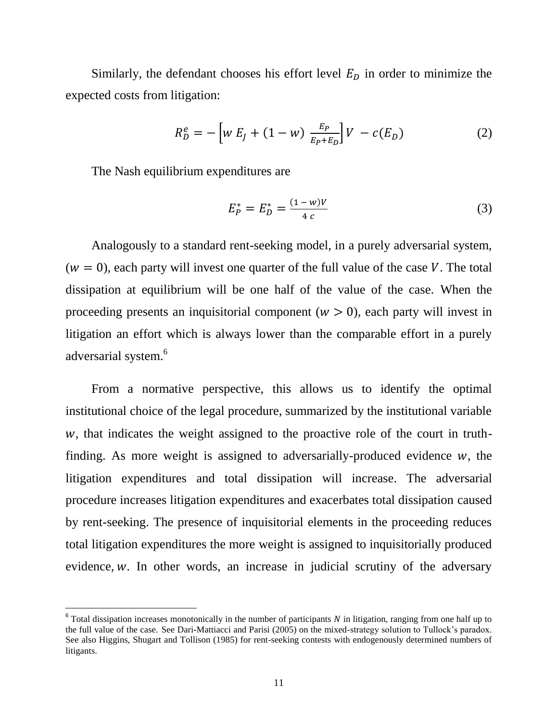Similarly, the defendant chooses his effort level  $E<sub>D</sub>$  in order to minimize the expected costs from litigation:

$$
R_D^e = -\left[w E_J + (1 - w) \frac{E_P}{E_P + E_D}\right] V - c(E_D) \tag{2}
$$

The Nash equilibrium expenditures are

 $\overline{\phantom{a}}$ 

$$
E_P^* = E_D^* = \frac{(1 - w)V}{4 c}
$$
 (3)

Analogously to a standard rent-seeking model, in a purely adversarial system,  $(w = 0)$ , each party will invest one quarter of the full value of the case V. The total dissipation at equilibrium will be one half of the value of the case. When the proceeding presents an inquisitorial component  $(w > 0)$ , each party will invest in litigation an effort which is always lower than the comparable effort in a purely adversarial system.<sup>6</sup>

From a normative perspective, this allows us to identify the optimal institutional choice of the legal procedure, summarized by the institutional variable , that indicates the weight assigned to the proactive role of the court in truthfinding. As more weight is assigned to adversarially-produced evidence  $w$ , the litigation expenditures and total dissipation will increase. The adversarial procedure increases litigation expenditures and exacerbates total dissipation caused by rent-seeking. The presence of inquisitorial elements in the proceeding reduces total litigation expenditures the more weight is assigned to inquisitorially produced evidence,  $w$ . In other words, an increase in judicial scrutiny of the adversary

 $6$  Total dissipation increases monotonically in the number of participants N in litigation, ranging from one half up to the full value of the case. See Dari-Mattiacci and Parisi (2005) on the mixed-strategy solution to Tullock's paradox. See also Higgins, Shugart and Tollison (1985) for rent-seeking contests with endogenously determined numbers of litigants.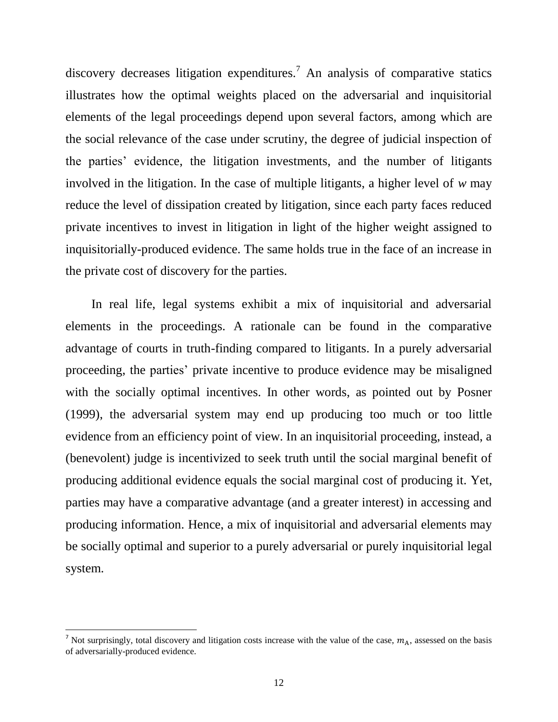discovery decreases litigation expenditures.<sup>7</sup> An analysis of comparative statics illustrates how the optimal weights placed on the adversarial and inquisitorial elements of the legal proceedings depend upon several factors, among which are the social relevance of the case under scrutiny, the degree of judicial inspection of the parties' evidence, the litigation investments, and the number of litigants involved in the litigation. In the case of multiple litigants, a higher level of *w* may reduce the level of dissipation created by litigation, since each party faces reduced private incentives to invest in litigation in light of the higher weight assigned to inquisitorially-produced evidence. The same holds true in the face of an increase in the private cost of discovery for the parties.

In real life, legal systems exhibit a mix of inquisitorial and adversarial elements in the proceedings. A rationale can be found in the comparative advantage of courts in truth-finding compared to litigants. In a purely adversarial proceeding, the parties' private incentive to produce evidence may be misaligned with the socially optimal incentives. In other words, as pointed out by Posner (1999), the adversarial system may end up producing too much or too little evidence from an efficiency point of view. In an inquisitorial proceeding, instead, a (benevolent) judge is incentivized to seek truth until the social marginal benefit of producing additional evidence equals the social marginal cost of producing it. Yet, parties may have a comparative advantage (and a greater interest) in accessing and producing information. Hence, a mix of inquisitorial and adversarial elements may be socially optimal and superior to a purely adversarial or purely inquisitorial legal system.

l

<sup>&</sup>lt;sup>7</sup> Not surprisingly, total discovery and litigation costs increase with the value of the case,  $m_A$ , assessed on the basis of adversarially-produced evidence.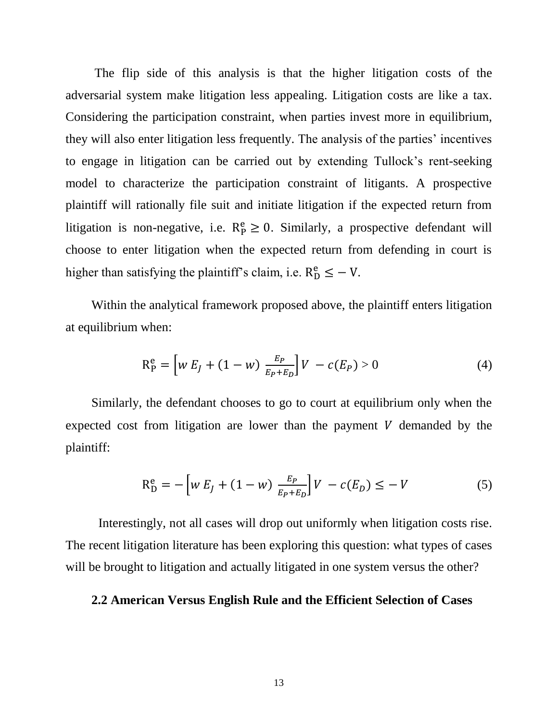The flip side of this analysis is that the higher litigation costs of the adversarial system make litigation less appealing. Litigation costs are like a tax. Considering the participation constraint, when parties invest more in equilibrium, they will also enter litigation less frequently. The analysis of the parties' incentives to engage in litigation can be carried out by extending Tullock's rent-seeking model to characterize the participation constraint of litigants. A prospective plaintiff will rationally file suit and initiate litigation if the expected return from litigation is non-negative, i.e.  $R_P^e \geq 0$ . Similarly, a prospective defendant will choose to enter litigation when the expected return from defending in court is higher than satisfying the plaintiff's claim, i.e.  $R_D^e \leq -V$ .

Within the analytical framework proposed above, the plaintiff enters litigation at equilibrium when:

$$
R_P^e = \left[ w E_J + (1 - w) \frac{E_P}{E_P + E_D} \right] V - c(E_P) > 0 \tag{4}
$$

Similarly, the defendant chooses to go to court at equilibrium only when the expected cost from litigation are lower than the payment  $V$  demanded by the plaintiff:

$$
R_{D}^{e} = -\left[w E_{J} + (1 - w) \frac{E_{P}}{E_{P} + E_{D}}\right]V - c(E_{D}) \leq -V
$$
 (5)

Interestingly, not all cases will drop out uniformly when litigation costs rise. The recent litigation literature has been exploring this question: what types of cases will be brought to litigation and actually litigated in one system versus the other?

#### **2.2 American Versus English Rule and the Efficient Selection of Cases**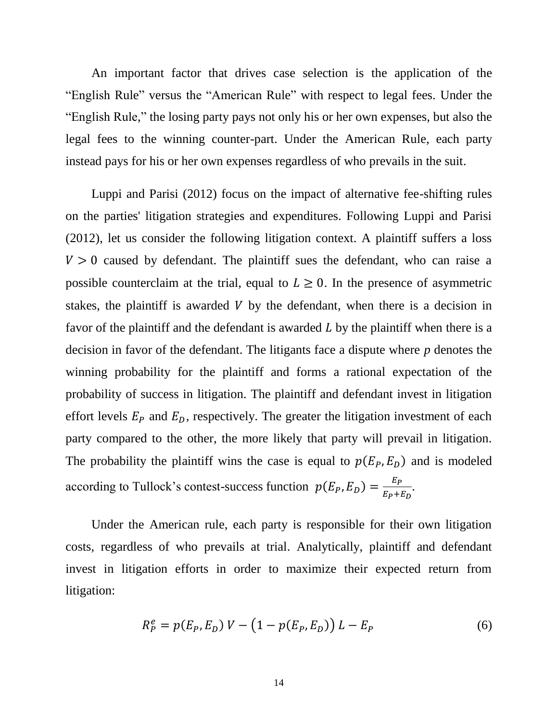An important factor that drives case selection is the application of the "English Rule" versus the "American Rule" with respect to legal fees. Under the "English Rule," the losing party pays not only his or her own expenses, but also the legal fees to the winning counter-part. Under the American Rule, each party instead pays for his or her own expenses regardless of who prevails in the suit.

Luppi and Parisi (2012) focus on the impact of alternative fee-shifting rules on the parties' litigation strategies and expenditures. Following Luppi and Parisi (2012), let us consider the following litigation context. A plaintiff suffers a loss  $V > 0$  caused by defendant. The plaintiff sues the defendant, who can raise a possible counterclaim at the trial, equal to  $L \geq 0$ . In the presence of asymmetric stakes, the plaintiff is awarded  $V$  by the defendant, when there is a decision in favor of the plaintiff and the defendant is awarded  $L$  by the plaintiff when there is a decision in favor of the defendant. The litigants face a dispute where *p* denotes the winning probability for the plaintiff and forms a rational expectation of the probability of success in litigation. The plaintiff and defendant invest in litigation effort levels  $E_p$  and  $E_p$ , respectively. The greater the litigation investment of each party compared to the other, the more likely that party will prevail in litigation. The probability the plaintiff wins the case is equal to  $p(E_p, E_p)$  and is modeled according to Tullock's contest-success function  $p(E_P, E_D) = \frac{E}{E_D}$  $\frac{E_P}{E_P+E_D}$ .

Under the American rule, each party is responsible for their own litigation costs, regardless of who prevails at trial. Analytically, plaintiff and defendant invest in litigation efforts in order to maximize their expected return from litigation:

$$
R_P^e = p(E_P, E_D) V - (1 - p(E_P, E_D)) L - E_P
$$
 (6)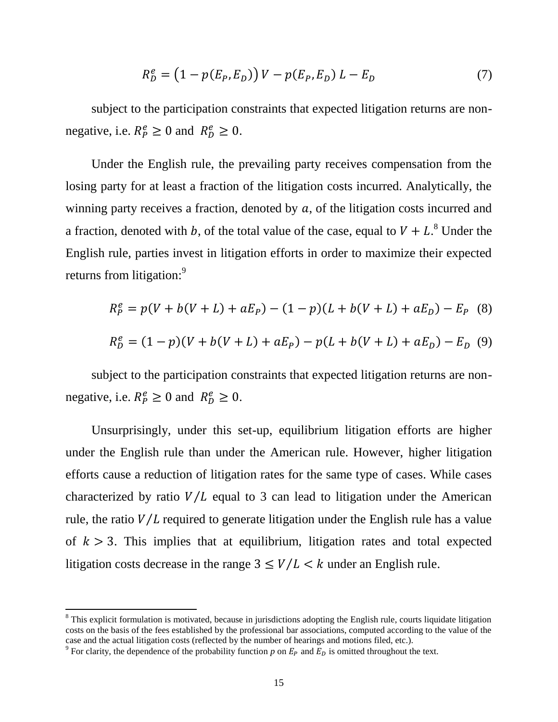$$
R_D^e = (1 - p(E_P, E_D)) V - p(E_P, E_D) L - E_D
$$
 (7)

subject to the participation constraints that expected litigation returns are nonnegative, i.e.  $R_P^e \ge 0$  and  $R_D^e \ge 0$ .

Under the English rule, the prevailing party receives compensation from the losing party for at least a fraction of the litigation costs incurred. Analytically, the winning party receives a fraction, denoted by  $a$ , of the litigation costs incurred and a fraction, denoted with b, of the total value of the case, equal to  $V + L<sup>8</sup>$  Under the English rule, parties invest in litigation efforts in order to maximize their expected returns from litigation:<sup>9</sup>

$$
R_P^e = p(V + b(V + L) + aE_P) - (1 - p)(L + b(V + L) + aE_D) - E_P
$$
 (8)

$$
R_D^e = (1 - p)(V + b(V + L) + aE_P) - p(L + b(V + L) + aE_D) - E_D
$$
 (9)

subject to the participation constraints that expected litigation returns are nonnegative, i.e.  $R_P^e \ge 0$  and  $R_D^e \ge 0$ .

Unsurprisingly, under this set-up, equilibrium litigation efforts are higher under the English rule than under the American rule. However, higher litigation efforts cause a reduction of litigation rates for the same type of cases. While cases characterized by ratio  $V/L$  equal to 3 can lead to litigation under the American rule, the ratio  $V/L$  required to generate litigation under the English rule has a value of  $k > 3$ . This implies that at equilibrium, litigation rates and total expected litigation costs decrease in the range  $3 \leq V/L < k$  under an English rule.

 $\overline{a}$ 

 $8$  This explicit formulation is motivated, because in jurisdictions adopting the English rule, courts liquidate litigation costs on the basis of the fees established by the professional bar associations, computed according to the value of the case and the actual litigation costs (reflected by the number of hearings and motions filed, etc.).

<sup>&</sup>lt;sup>9</sup> For clarity, the dependence of the probability function *p* on  $E_p$  and  $\overline{E_p}$  is omitted throughout the text.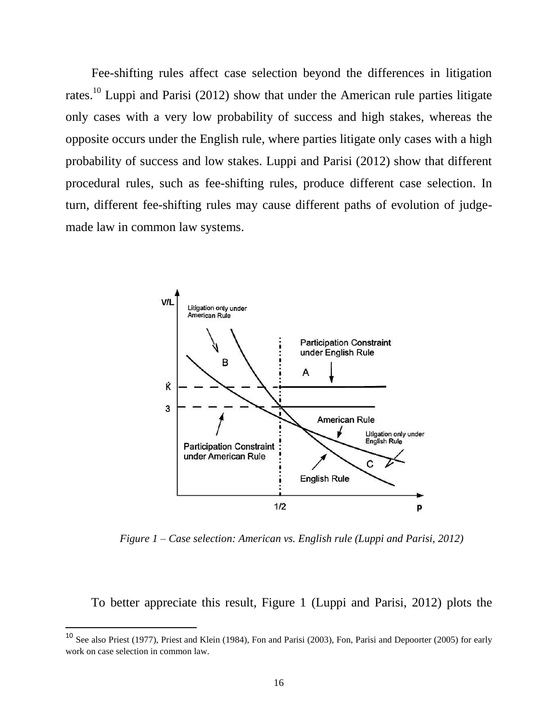Fee-shifting rules affect case selection beyond the differences in litigation rates.<sup>10</sup> Luppi and Parisi (2012) show that under the American rule parties litigate only cases with a very low probability of success and high stakes, whereas the opposite occurs under the English rule, where parties litigate only cases with a high probability of success and low stakes. Luppi and Parisi (2012) show that different procedural rules, such as fee-shifting rules, produce different case selection. In turn, different fee-shifting rules may cause different paths of evolution of judgemade law in common law systems.



*Figure 1 – Case selection: American vs. English rule (Luppi and Parisi, 2012)*

To better appreciate this result, Figure 1 (Luppi and Parisi, 2012) plots the

 $\overline{\phantom{a}}$ 

<sup>&</sup>lt;sup>10</sup> See also Priest (1977), Priest and Klein (1984), Fon and Parisi (2003), Fon, Parisi and Depoorter (2005) for early work on case selection in common law.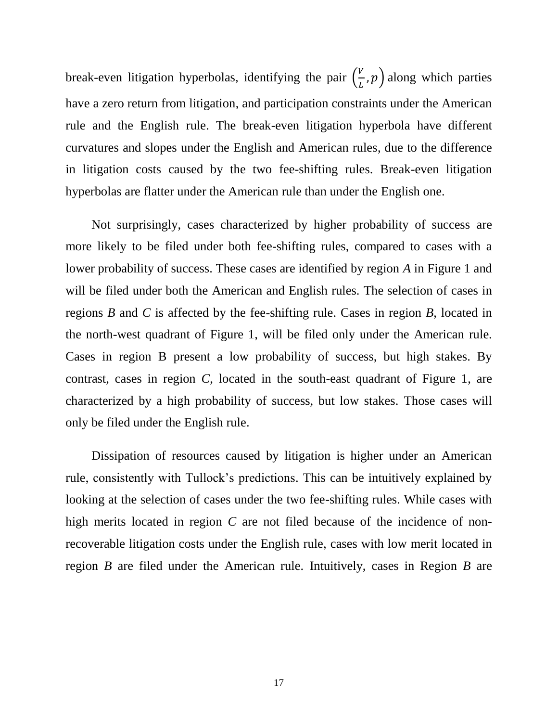break-even litigation hyperbolas, identifying the pair  $(\frac{V}{I})$  $\frac{a}{b}$ , p) along which parties have a zero return from litigation, and participation constraints under the American rule and the English rule. The break-even litigation hyperbola have different curvatures and slopes under the English and American rules, due to the difference in litigation costs caused by the two fee-shifting rules. Break-even litigation hyperbolas are flatter under the American rule than under the English one.

Not surprisingly, cases characterized by higher probability of success are more likely to be filed under both fee-shifting rules, compared to cases with a lower probability of success. These cases are identified by region *A* in Figure 1 and will be filed under both the American and English rules. The selection of cases in regions *B* and *C* is affected by the fee-shifting rule. Cases in region *B*, located in the north-west quadrant of Figure 1, will be filed only under the American rule. Cases in region B present a low probability of success, but high stakes. By contrast, cases in region *C*, located in the south-east quadrant of Figure 1, are characterized by a high probability of success, but low stakes. Those cases will only be filed under the English rule.

Dissipation of resources caused by litigation is higher under an American rule, consistently with Tullock's predictions. This can be intuitively explained by looking at the selection of cases under the two fee-shifting rules. While cases with high merits located in region *C* are not filed because of the incidence of nonrecoverable litigation costs under the English rule, cases with low merit located in region *B* are filed under the American rule. Intuitively, cases in Region *B* are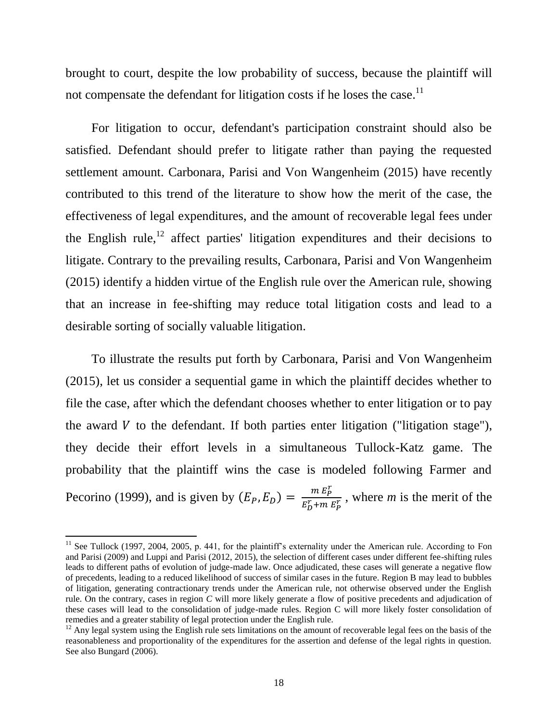brought to court, despite the low probability of success, because the plaintiff will not compensate the defendant for litigation costs if he loses the case.<sup>11</sup>

For litigation to occur, defendant's participation constraint should also be satisfied. Defendant should prefer to litigate rather than paying the requested settlement amount. Carbonara, Parisi and Von Wangenheim (2015) have recently contributed to this trend of the literature to show how the merit of the case, the effectiveness of legal expenditures, and the amount of recoverable legal fees under the English rule,<sup>12</sup> affect parties' litigation expenditures and their decisions to litigate. Contrary to the prevailing results, Carbonara, Parisi and Von Wangenheim (2015) identify a hidden virtue of the English rule over the American rule, showing that an increase in fee-shifting may reduce total litigation costs and lead to a desirable sorting of socially valuable litigation.

To illustrate the results put forth by Carbonara, Parisi and Von Wangenheim (2015), let us consider a sequential game in which the plaintiff decides whether to file the case, after which the defendant chooses whether to enter litigation or to pay the award  $V$  to the defendant. If both parties enter litigation ("litigation stage"), they decide their effort levels in a simultaneous Tullock-Katz game. The probability that the plaintiff wins the case is modeled following Farmer and Pecorino (1999), and is given by  $(E_P, E_D) = \frac{m E_P^r}{r F + m}$  $\frac{m E_p}{E_b^r + m E_p^r}$ , where *m* is the merit of the

 $\overline{a}$ 

 $11$  See Tullock (1997, 2004, 2005, p. 441, for the plaintiff's externality under the American rule. According to Fon and Parisi (2009) and Luppi and Parisi (2012, 2015), the selection of different cases under different fee-shifting rules leads to different paths of evolution of judge-made law. Once adjudicated, these cases will generate a negative flow of precedents, leading to a reduced likelihood of success of similar cases in the future. Region B may lead to bubbles of litigation, generating contractionary trends under the American rule, not otherwise observed under the English rule. On the contrary, cases in region *C* will more likely generate a flow of positive precedents and adjudication of these cases will lead to the consolidation of judge-made rules. Region C will more likely foster consolidation of remedies and a greater stability of legal protection under the English rule.

 $12$  Any legal system using the English rule sets limitations on the amount of recoverable legal fees on the basis of the reasonableness and proportionality of the expenditures for the assertion and defense of the legal rights in question. See also Bungard (2006).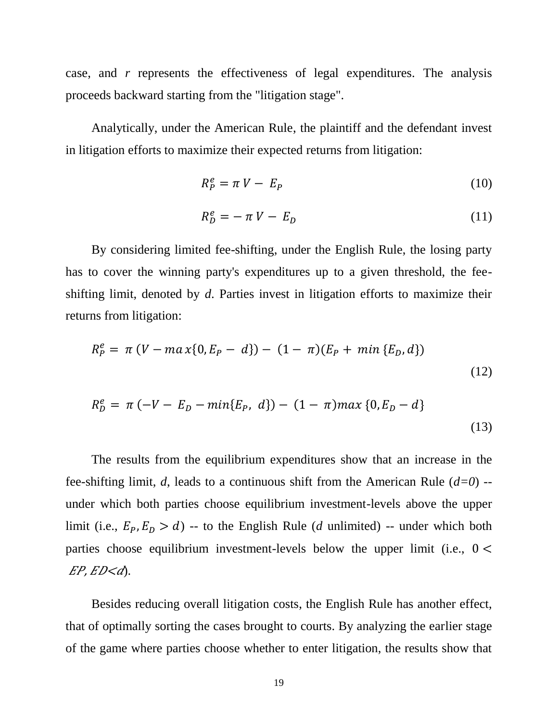case, and *r* represents the effectiveness of legal expenditures. The analysis proceeds backward starting from the "litigation stage".

Analytically, under the American Rule, the plaintiff and the defendant invest in litigation efforts to maximize their expected returns from litigation:

$$
R_P^e = \pi V - E_P \tag{10}
$$

$$
R_D^e = -\pi V - E_D \tag{11}
$$

By considering limited fee-shifting, under the English Rule, the losing party has to cover the winning party's expenditures up to a given threshold, the feeshifting limit, denoted by *d*. Parties invest in litigation efforts to maximize their returns from litigation:

$$
R_P^e = \pi (V - ma x \{0, E_P - d\}) - (1 - \pi)(E_P + min \{E_D, d\})
$$
\n(12)

$$
R_D^e = \pi (-V - E_D - min\{E_P, d\}) - (1 - \pi) max\{0, E_D - d\}
$$
\n(13)

The results from the equilibrium expenditures show that an increase in the fee-shifting limit, *d*, leads to a continuous shift from the American Rule (*d=0*) - under which both parties choose equilibrium investment-levels above the upper limit (i.e.,  $E_p$ ,  $E_p > d$ ) -- to the English Rule (*d* unlimited) -- under which both parties choose equilibrium investment-levels below the upper limit (i.e.,  $0 <$  $EP, ED < d$ ).

Besides reducing overall litigation costs, the English Rule has another effect, that of optimally sorting the cases brought to courts. By analyzing the earlier stage of the game where parties choose whether to enter litigation, the results show that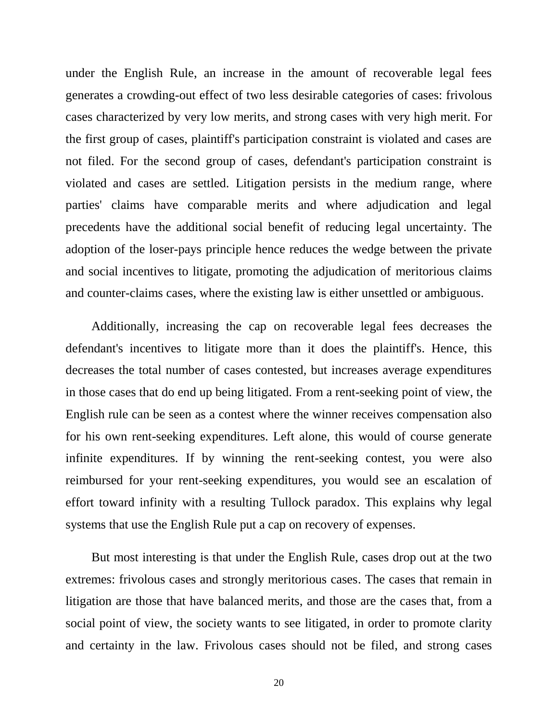under the English Rule, an increase in the amount of recoverable legal fees generates a crowding-out effect of two less desirable categories of cases: frivolous cases characterized by very low merits, and strong cases with very high merit. For the first group of cases, plaintiff's participation constraint is violated and cases are not filed. For the second group of cases, defendant's participation constraint is violated and cases are settled. Litigation persists in the medium range, where parties' claims have comparable merits and where adjudication and legal precedents have the additional social benefit of reducing legal uncertainty. The adoption of the loser-pays principle hence reduces the wedge between the private and social incentives to litigate, promoting the adjudication of meritorious claims and counter-claims cases, where the existing law is either unsettled or ambiguous.

Additionally, increasing the cap on recoverable legal fees decreases the defendant's incentives to litigate more than it does the plaintiff's. Hence, this decreases the total number of cases contested, but increases average expenditures in those cases that do end up being litigated. From a rent-seeking point of view, the English rule can be seen as a contest where the winner receives compensation also for his own rent-seeking expenditures. Left alone, this would of course generate infinite expenditures. If by winning the rent-seeking contest, you were also reimbursed for your rent-seeking expenditures, you would see an escalation of effort toward infinity with a resulting Tullock paradox. This explains why legal systems that use the English Rule put a cap on recovery of expenses.

But most interesting is that under the English Rule, cases drop out at the two extremes: frivolous cases and strongly meritorious cases. The cases that remain in litigation are those that have balanced merits, and those are the cases that, from a social point of view, the society wants to see litigated, in order to promote clarity and certainty in the law. Frivolous cases should not be filed, and strong cases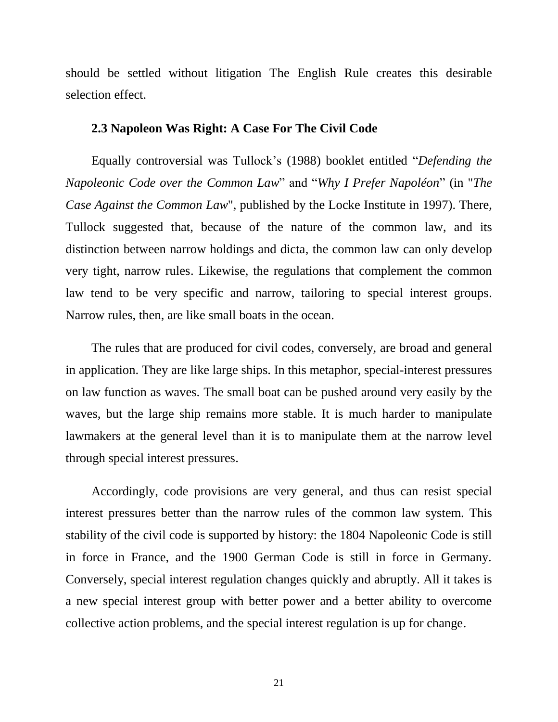should be settled without litigation The English Rule creates this desirable selection effect.

#### **2.3 Napoleon Was Right: A Case For The Civil Code**

Equally controversial was Tullock's (1988) booklet entitled "*Defending the Napoleonic Code over the Common Law*" and "*Why I Prefer Napoléon*" (in "*The Case Against the Common Law*", published by the Locke Institute in 1997). There, Tullock suggested that, because of the nature of the common law, and its distinction between narrow holdings and dicta, the common law can only develop very tight, narrow rules. Likewise, the regulations that complement the common law tend to be very specific and narrow, tailoring to special interest groups. Narrow rules, then, are like small boats in the ocean.

The rules that are produced for civil codes, conversely, are broad and general in application. They are like large ships. In this metaphor, special-interest pressures on law function as waves. The small boat can be pushed around very easily by the waves, but the large ship remains more stable. It is much harder to manipulate lawmakers at the general level than it is to manipulate them at the narrow level through special interest pressures.

Accordingly, code provisions are very general, and thus can resist special interest pressures better than the narrow rules of the common law system. This stability of the civil code is supported by history: the 1804 Napoleonic Code is still in force in France, and the 1900 German Code is still in force in Germany. Conversely, special interest regulation changes quickly and abruptly. All it takes is a new special interest group with better power and a better ability to overcome collective action problems, and the special interest regulation is up for change.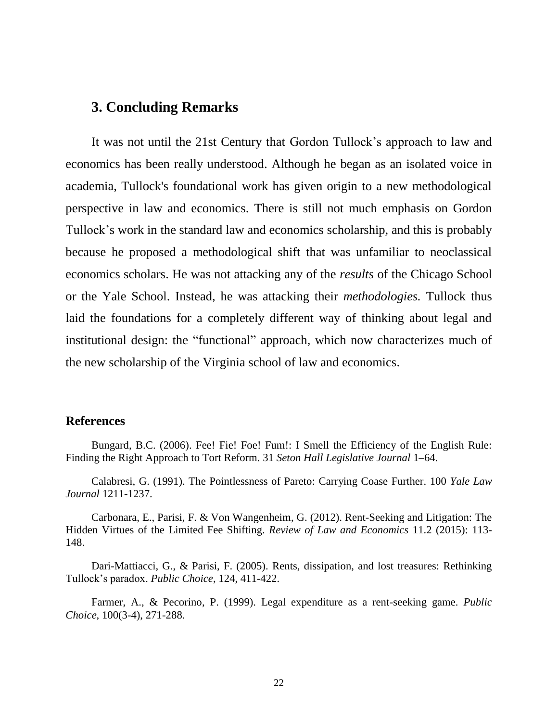# **3. Concluding Remarks**

It was not until the 21st Century that Gordon Tullock's approach to law and economics has been really understood. Although he began as an isolated voice in academia, Tullock's foundational work has given origin to a new methodological perspective in law and economics. There is still not much emphasis on Gordon Tullock's work in the standard law and economics scholarship, and this is probably because he proposed a methodological shift that was unfamiliar to neoclassical economics scholars. He was not attacking any of the *results* of the Chicago School or the Yale School. Instead, he was attacking their *methodologies.* Tullock thus laid the foundations for a completely different way of thinking about legal and institutional design: the "functional" approach, which now characterizes much of the new scholarship of the Virginia school of law and economics.

## **References**

Bungard, B.C. (2006). Fee! Fie! Foe! Fum!: I Smell the Efficiency of the English Rule: Finding the Right Approach to Tort Reform. 31 *Seton Hall Legislative Journal* 1–64.

Calabresi, G. (1991). The Pointlessness of Pareto: Carrying Coase Further. 100 *Yale Law Journal* 1211-1237.

Carbonara, E., Parisi, F. & Von Wangenheim, G. (2012). Rent-Seeking and Litigation: The Hidden Virtues of the Limited Fee Shifting. *Review of Law and Economics* 11.2 (2015): 113- 148.

Dari-Mattiacci, G., & Parisi, F. (2005). Rents, dissipation, and lost treasures: Rethinking Tullock's paradox. *Public Choice*, 124, 411-422.

Farmer, A., & Pecorino, P. (1999). Legal expenditure as a rent-seeking game. *Public Choice*, 100(3-4), 271-288.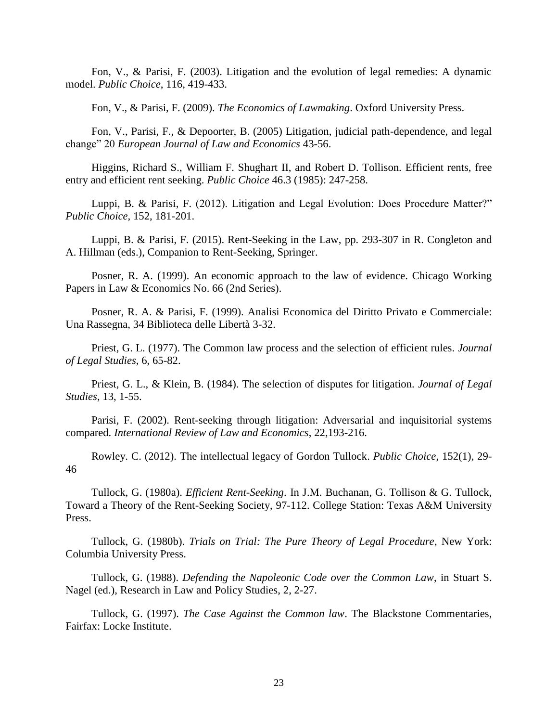Fon, V., & Parisi, F. (2003). Litigation and the evolution of legal remedies: A dynamic model. *Public Choice*, 116, 419-433.

Fon, V., & Parisi, F. (2009). *The Economics of Lawmaking*. Oxford University Press.

Fon, V., Parisi, F., & Depoorter, B. (2005) Litigation, judicial path-dependence, and legal change" 20 *European Journal of Law and Economics* 43-56.

Higgins, Richard S., William F. Shughart II, and Robert D. Tollison. Efficient rents, free entry and efficient rent seeking. *Public Choice* 46.3 (1985): 247-258.

Luppi, B. & Parisi, F. (2012). Litigation and Legal Evolution: Does Procedure Matter?" *Public Choice,* 152, 181-201.

Luppi, B. & Parisi, F. (2015). Rent-Seeking in the Law, pp. 293-307 in R. Congleton and A. Hillman (eds.), Companion to Rent-Seeking, Springer.

Posner, R. A. (1999). An economic approach to the law of evidence. Chicago Working Papers in Law & Economics No. 66 (2nd Series).

Posner, R. A. & Parisi, F. (1999). Analisi Economica del Diritto Privato e Commerciale: Una Rassegna, 34 Biblioteca delle Libertà 3-32.

Priest, G. L. (1977). The Common law process and the selection of efficient rules. *Journal of Legal Studies*, 6, 65-82.

Priest, G. L., & Klein, B. (1984). The selection of disputes for litigation. *Journal of Legal Studies*, 13, 1-55.

Parisi, F. (2002). Rent-seeking through litigation: Adversarial and inquisitorial systems compared. *International Review of Law and Economics*, 22,193-216.

Rowley. C. (2012). The intellectual legacy of Gordon Tullock. *[Public Choice](http://link.springer.com/journal/11127)*, 152(1), 29- 46

Tullock, G. (1980a). *Efficient Rent-Seeking*. In J.M. Buchanan, G. Tollison & G. Tullock, Toward a Theory of the Rent-Seeking Society, 97-112. College Station: Texas A&M University Press.

Tullock, G. (1980b). *Trials on Trial: The Pure Theory of Legal Procedure*, New York: Columbia University Press.

Tullock, G. (1988). *Defending the Napoleonic Code over the Common Law*, in Stuart S. Nagel (ed.), Research in Law and Policy Studies, 2, 2-27.

Tullock, G. (1997). *The Case Against the Common law*. The Blackstone Commentaries, Fairfax: Locke Institute.